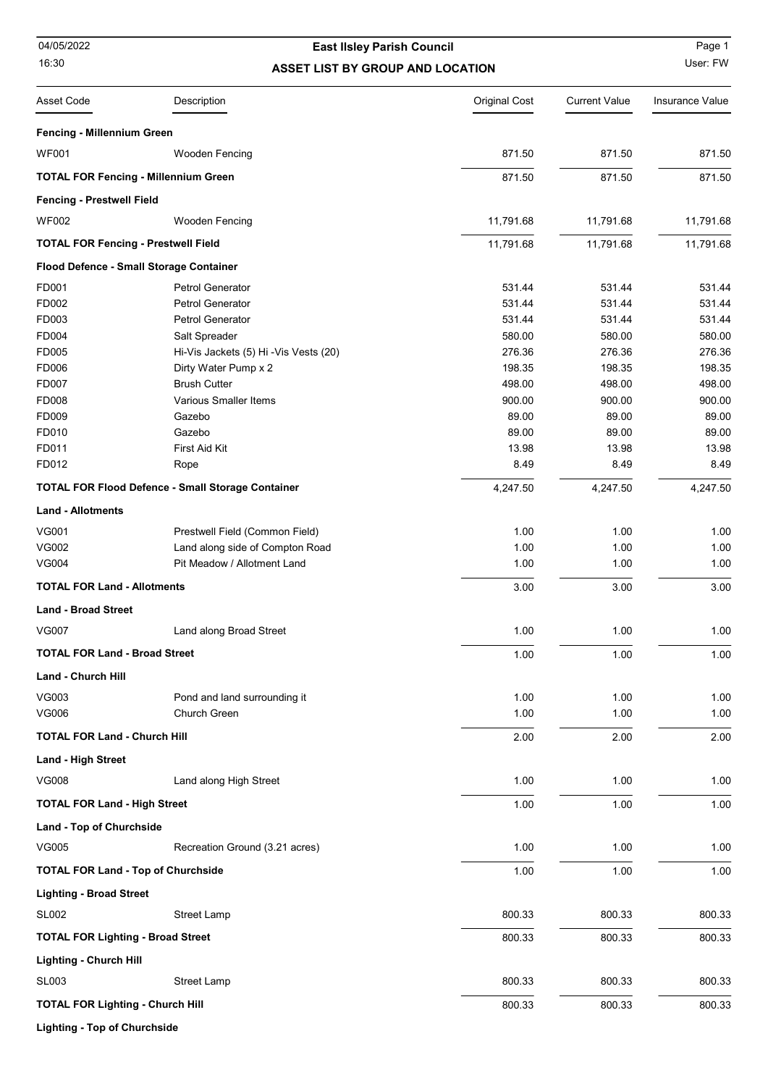04/05/2022

## 16:30 **ASSET LIST BY GROUP AND LOCATION** User: FW East IIsley Parish Council **East III** Page 1

| <b>Asset Code</b>                          | Description                                              | <b>Original Cost</b> | <b>Current Value</b> | Insurance Value |
|--------------------------------------------|----------------------------------------------------------|----------------------|----------------------|-----------------|
| Fencing - Millennium Green                 |                                                          |                      |                      |                 |
| <b>WF001</b>                               | <b>Wooden Fencing</b>                                    | 871.50               | 871.50               | 871.50          |
|                                            | <b>TOTAL FOR Fencing - Millennium Green</b>              | 871.50               | 871.50               | 871.50          |
| <b>Fencing - Prestwell Field</b>           |                                                          |                      |                      |                 |
| <b>WF002</b>                               | <b>Wooden Fencing</b>                                    | 11,791.68            | 11,791.68            | 11,791.68       |
| <b>TOTAL FOR Fencing - Prestwell Field</b> |                                                          | 11,791.68            | 11,791.68            | 11,791.68       |
|                                            | Flood Defence - Small Storage Container                  |                      |                      |                 |
| FD001                                      | Petrol Generator                                         | 531.44               | 531.44               | 531.44          |
| FD002                                      | Petrol Generator                                         | 531.44               | 531.44               | 531.44          |
| FD003                                      | <b>Petrol Generator</b>                                  | 531.44               | 531.44               | 531.44          |
| FD004                                      | Salt Spreader                                            | 580.00               | 580.00               | 580.00          |
| FD005                                      | Hi-Vis Jackets (5) Hi-Vis Vests (20)                     | 276.36               | 276.36               | 276.36          |
| FD006                                      | Dirty Water Pump x 2                                     | 198.35               | 198.35               | 198.35          |
| FD007                                      | <b>Brush Cutter</b>                                      | 498.00               | 498.00               | 498.00          |
| FD008                                      | Various Smaller Items                                    | 900.00               | 900.00               | 900.00          |
| FD009                                      | Gazebo                                                   | 89.00                | 89.00                | 89.00           |
| FD010                                      | Gazebo                                                   | 89.00                | 89.00                | 89.00           |
| FD011                                      | First Aid Kit                                            | 13.98                | 13.98                | 13.98           |
| FD012                                      | Rope                                                     | 8.49                 | 8.49                 | 8.49            |
|                                            | <b>TOTAL FOR Flood Defence - Small Storage Container</b> | 4,247.50             | 4,247.50             | 4,247.50        |
| <b>Land - Allotments</b>                   |                                                          |                      |                      |                 |
| <b>VG001</b>                               | Prestwell Field (Common Field)                           | 1.00                 | 1.00                 | 1.00            |
| <b>VG002</b>                               | Land along side of Compton Road                          | 1.00                 | 1.00                 | 1.00            |
| <b>VG004</b>                               | Pit Meadow / Allotment Land                              | 1.00                 | 1.00                 | 1.00            |
| <b>TOTAL FOR Land - Allotments</b>         |                                                          | 3.00                 | 3.00                 | 3.00            |
| <b>Land - Broad Street</b>                 |                                                          |                      |                      |                 |
| <b>VG007</b>                               | Land along Broad Street                                  | 1.00                 | 1.00                 | 1.00            |
| <b>TOTAL FOR Land - Broad Street</b>       |                                                          | 1.00                 | 1.00                 | 1.00            |
| Land - Church Hill                         |                                                          |                      |                      |                 |
| VG003                                      | Pond and land surrounding it                             | 1.00                 | 1.00                 | 1.00            |
| VG006                                      | Church Green                                             | 1.00                 | 1.00                 | 1.00            |
| <b>TOTAL FOR Land - Church Hill</b>        |                                                          | 2.00                 | 2.00                 | 2.00            |
| <b>Land - High Street</b>                  |                                                          |                      |                      |                 |
| <b>VG008</b>                               | Land along High Street                                   | 1.00                 | 1.00                 | 1.00            |
| <b>TOTAL FOR Land - High Street</b>        |                                                          | 1.00                 | 1.00                 | 1.00            |
| Land - Top of Churchside                   |                                                          |                      |                      |                 |
| VG005                                      | Recreation Ground (3.21 acres)                           | 1.00                 | 1.00                 | 1.00            |
| <b>TOTAL FOR Land - Top of Churchside</b>  |                                                          | 1.00                 | 1.00                 | 1.00            |
| Lighting - Broad Street                    |                                                          |                      |                      |                 |
| SL002                                      | Street Lamp                                              | 800.33               | 800.33               | 800.33          |
| <b>TOTAL FOR Lighting - Broad Street</b>   |                                                          | 800.33               | 800.33               | 800.33          |
| <b>Lighting - Church Hill</b>              |                                                          |                      |                      |                 |
| SL003                                      | <b>Street Lamp</b>                                       | 800.33               | 800.33               | 800.33          |
| <b>TOTAL FOR Lighting - Church Hill</b>    |                                                          | 800.33               | 800.33               | 800.33          |
|                                            |                                                          |                      |                      |                 |

Lighting - Top of Churchside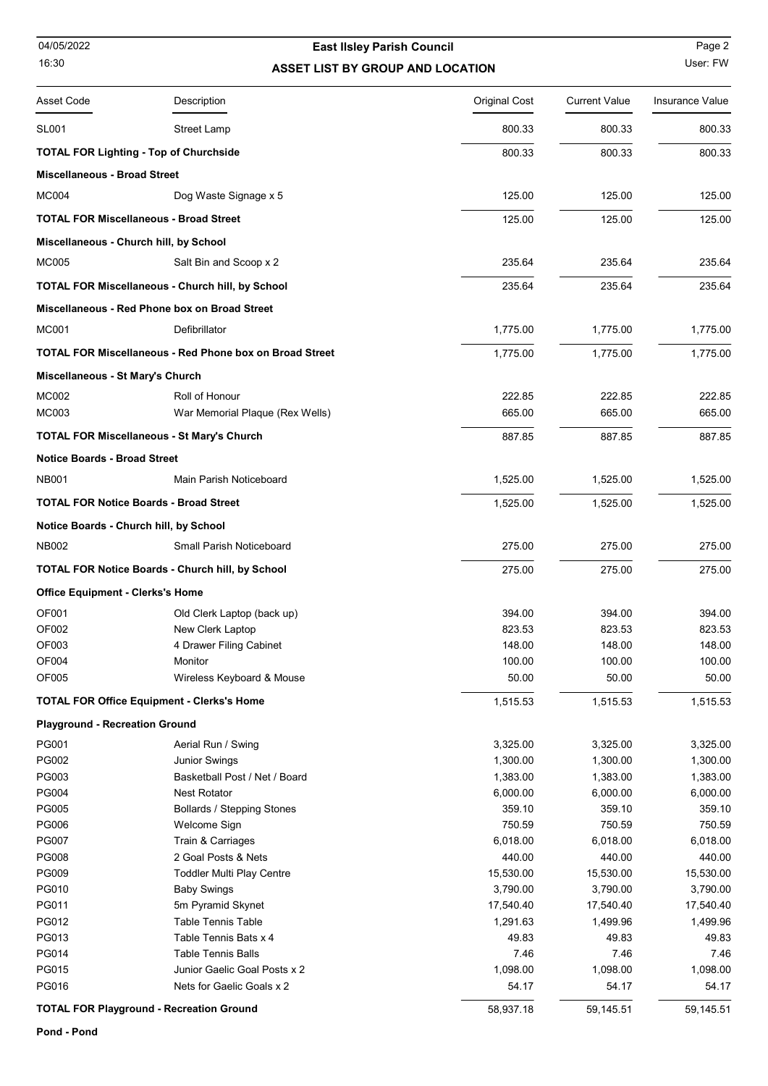## 16:30 **ASSET LIST BY GROUP AND LOCATION** User: FW East IIsley Parish Council **East IIsley Parish Council** Page 2

| Asset Code                                      | Description                                                    | <b>Original Cost</b> | <b>Current Value</b> | Insurance Value |
|-------------------------------------------------|----------------------------------------------------------------|----------------------|----------------------|-----------------|
| SL001                                           | <b>Street Lamp</b>                                             | 800.33               | 800.33               | 800.33          |
|                                                 | <b>TOTAL FOR Lighting - Top of Churchside</b>                  | 800.33               | 800.33               | 800.33          |
| <b>Miscellaneous - Broad Street</b>             |                                                                |                      |                      |                 |
| <b>MC004</b>                                    | Dog Waste Signage x 5                                          | 125.00               | 125.00               | 125.00          |
|                                                 | <b>TOTAL FOR Miscellaneous - Broad Street</b>                  | 125.00               | 125.00               | 125.00          |
|                                                 | Miscellaneous - Church hill, by School                         |                      |                      |                 |
|                                                 |                                                                |                      |                      |                 |
| <b>MC005</b>                                    | Salt Bin and Scoop x 2                                         | 235.64               | 235.64               | 235.64          |
|                                                 | <b>TOTAL FOR Miscellaneous - Church hill, by School</b>        | 235.64               | 235.64               | 235.64          |
|                                                 | Miscellaneous - Red Phone box on Broad Street                  |                      |                      |                 |
| <b>MC001</b>                                    | Defibrillator                                                  | 1,775.00             | 1,775.00             | 1,775.00        |
|                                                 | <b>TOTAL FOR Miscellaneous - Red Phone box on Broad Street</b> | 1,775.00             | 1,775.00             | 1,775.00        |
| Miscellaneous - St Mary's Church                |                                                                |                      |                      |                 |
| MC002                                           | Roll of Honour                                                 | 222.85               | 222.85               | 222.85          |
| <b>MC003</b>                                    | War Memorial Plaque (Rex Wells)                                | 665.00               | 665.00               | 665.00          |
|                                                 | <b>TOTAL FOR Miscellaneous - St Mary's Church</b>              | 887.85               | 887.85               | 887.85          |
| <b>Notice Boards - Broad Street</b>             |                                                                |                      |                      |                 |
| <b>NB001</b>                                    | Main Parish Noticeboard                                        | 1,525.00             | 1,525.00             | 1,525.00        |
|                                                 | <b>TOTAL FOR Notice Boards - Broad Street</b>                  | 1,525.00             | 1,525.00             | 1,525.00        |
|                                                 | Notice Boards - Church hill, by School                         |                      |                      |                 |
| <b>NB002</b>                                    | Small Parish Noticeboard                                       | 275.00               | 275.00               | 275.00          |
|                                                 | <b>TOTAL FOR Notice Boards - Church hill, by School</b>        | 275.00               | 275.00               | 275.00          |
| <b>Office Equipment - Clerks's Home</b>         |                                                                |                      |                      |                 |
| OF001                                           | Old Clerk Laptop (back up)                                     | 394.00               | 394.00               | 394.00          |
| OF002                                           | New Clerk Laptop                                               | 823.53               | 823.53               | 823.53          |
| OF003                                           | 4 Drawer Filing Cabinet                                        | 148.00               | 148.00               | 148.00          |
| OF004                                           | Monitor                                                        | 100.00               | 100.00               | 100.00          |
| OF005                                           | Wireless Keyboard & Mouse                                      | 50.00                | 50.00                | 50.00           |
|                                                 | <b>TOTAL FOR Office Equipment - Clerks's Home</b>              | 1,515.53             | 1,515.53             | 1,515.53        |
| <b>Playground - Recreation Ground</b>           |                                                                |                      |                      |                 |
| PG001                                           | Aerial Run / Swing                                             | 3,325.00             | 3,325.00             | 3,325.00        |
| PG002                                           | <b>Junior Swings</b>                                           | 1,300.00             | 1,300.00             | 1,300.00        |
| PG003                                           | Basketball Post / Net / Board                                  | 1,383.00             | 1,383.00             | 1,383.00        |
| PG004                                           | <b>Nest Rotator</b>                                            | 6,000.00             | 6,000.00             | 6,000.00        |
| PG005                                           | <b>Bollards / Stepping Stones</b>                              | 359.10               | 359.10               | 359.10          |
| PG006                                           | Welcome Sign                                                   | 750.59               | 750.59               | 750.59          |
| <b>PG007</b>                                    | Train & Carriages                                              | 6,018.00             | 6,018.00             | 6,018.00        |
| PG008                                           | 2 Goal Posts & Nets                                            | 440.00               | 440.00               | 440.00          |
| PG009                                           | <b>Toddler Multi Play Centre</b>                               | 15,530.00            | 15,530.00            | 15,530.00       |
| PG010                                           | <b>Baby Swings</b>                                             | 3,790.00             | 3,790.00             | 3,790.00        |
| PG011                                           | 5m Pyramid Skynet                                              | 17,540.40            | 17,540.40            | 17,540.40       |
| PG012                                           | <b>Table Tennis Table</b>                                      | 1,291.63             | 1,499.96             | 1,499.96        |
| PG013                                           | Table Tennis Bats x 4                                          | 49.83                | 49.83                | 49.83           |
| PG014                                           | <b>Table Tennis Balls</b>                                      | 7.46                 | 7.46                 | 7.46            |
| PG015                                           | Junior Gaelic Goal Posts x 2                                   | 1,098.00             | 1,098.00             | 1,098.00        |
| PG016                                           | Nets for Gaelic Goals x 2                                      | 54.17                | 54.17                | 54.17           |
| <b>TOTAL FOR Playground - Recreation Ground</b> |                                                                | 58,937.18            | 59,145.51            | 59,145.51       |